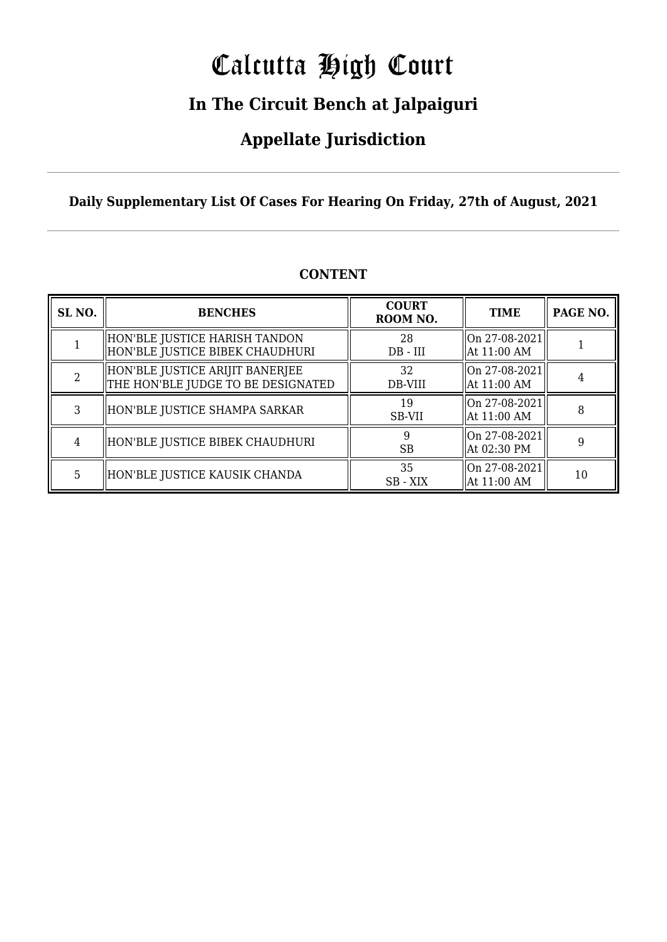# Calcutta High Court

### **In The Circuit Bench at Jalpaiguri**

### **Appellate Jurisdiction**

**Daily Supplementary List Of Cases For Hearing On Friday, 27th of August, 2021**

| SL <sub>NO.</sub> | <b>BENCHES</b>                                                        | <b>COURT</b><br>ROOM NO. | <b>TIME</b>                      | PAGE NO. |
|-------------------|-----------------------------------------------------------------------|--------------------------|----------------------------------|----------|
|                   | HON'BLE JUSTICE HARISH TANDON<br>  HON'BLE JUSTICE BIBEK CHAUDHURI    | 28<br>$DB$ - $III$       | On 27-08-2021<br>At 11:00 AM     |          |
|                   | HON'BLE JUSTICE ARIJIT BANERJEE<br>THE HON'BLE JUDGE TO BE DESIGNATED | 32<br>DB-VIII            | $ On 27-08-2021 $<br>At 11:00 AM |          |
| 3                 | HON'BLE JUSTICE SHAMPA SARKAR                                         | 19<br>SB-VII             | On 27-08-2021<br>At 11:00 AM     | 8        |
| 4                 | HON'BLE JUSTICE BIBEK CHAUDHURI                                       | 9<br><b>SB</b>           | $ On 27-08-2021 $<br>At 02:30 PM | 9        |
| 5                 | HON'BLE JUSTICE KAUSIK CHANDA                                         | 35<br>$SB - XIX$         | On 27-08-2021<br>At 11:00 AM     | 10       |

#### **CONTENT**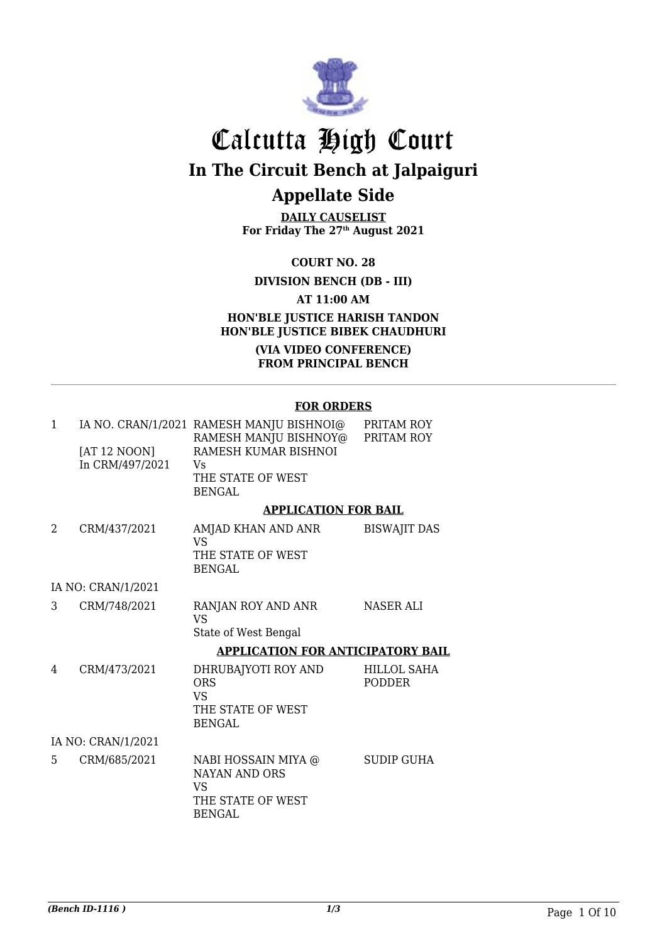

**DAILY CAUSELIST For Friday The 27th August 2021**

**COURT NO. 28**

**DIVISION BENCH (DB - III)**

**AT 11:00 AM**

#### **HON'BLE JUSTICE HARISH TANDON HON'BLE JUSTICE BIBEK CHAUDHURI**

**(VIA VIDEO CONFERENCE) FROM PRINCIPAL BENCH**

#### **FOR ORDERS**

| 1              | [AT 12 NOON]<br>In CRM/497/2021 | IA NO. CRAN/1/2021 RAMESH MANJU BISHNOI@<br>RAMESH MANJU BISHNOY@<br>RAMESH KUMAR BISHNOI<br>Vs<br>THE STATE OF WEST<br><b>BENGAL</b> | PRITAM ROY<br>PRITAM ROY            |
|----------------|---------------------------------|---------------------------------------------------------------------------------------------------------------------------------------|-------------------------------------|
|                |                                 | <b>APPLICATION FOR BAIL</b>                                                                                                           |                                     |
| $\mathfrak{D}$ | CRM/437/2021                    | AMJAD KHAN AND ANR<br><b>VS</b><br>THE STATE OF WEST<br><b>BENGAL</b>                                                                 | <b>BISWAJIT DAS</b>                 |
|                | IA NO: CRAN/1/2021              |                                                                                                                                       |                                     |
| 3              | CRM/748/2021                    | RANJAN ROY AND ANR<br><b>VS</b><br>State of West Bengal                                                                               | <b>NASER ALI</b>                    |
|                |                                 | <b>APPLICATION FOR ANTICIPATORY BAIL</b>                                                                                              |                                     |
| 4              | CRM/473/2021                    | DHRUBAJYOTI ROY AND<br><b>ORS</b><br><b>VS</b><br>THE STATE OF WEST<br><b>BENGAL</b>                                                  | <b>HILLOL SAHA</b><br><b>PODDER</b> |
|                | IA NO: CRAN/1/2021              |                                                                                                                                       |                                     |
| 5              | CRM/685/2021                    | NABI HOSSAIN MIYA @<br><b>NAYAN AND ORS</b><br><b>VS</b><br>THE STATE OF WEST<br><b>BENGAL</b>                                        | <b>SUDIP GUHA</b>                   |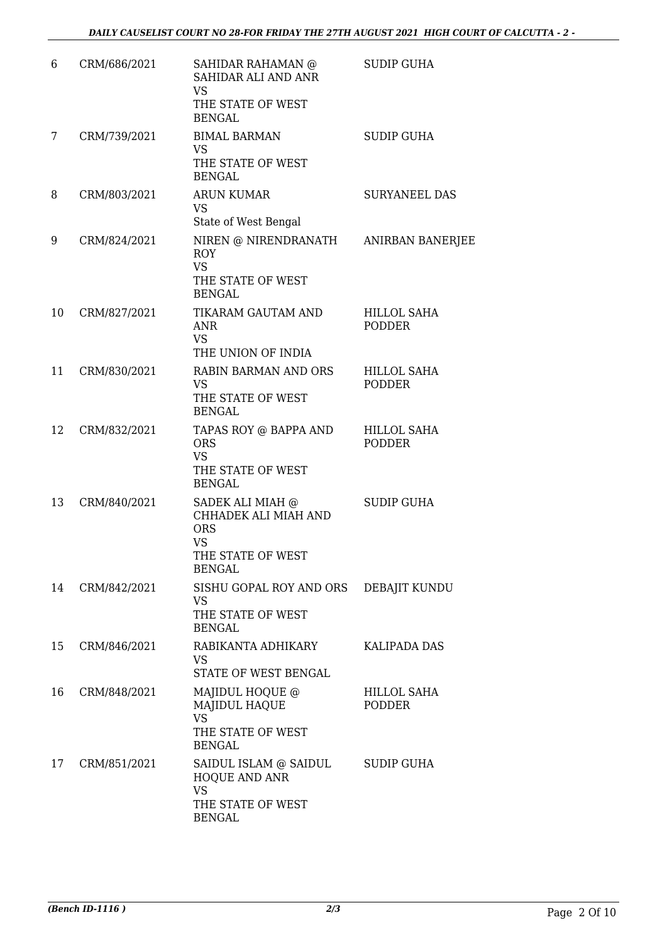| 6  | CRM/686/2021 | SAHIDAR RAHAMAN @<br>SAHIDAR ALI AND ANR<br><b>VS</b><br>THE STATE OF WEST<br><b>BENGAL</b>               | <b>SUDIP GUHA</b>                   |
|----|--------------|-----------------------------------------------------------------------------------------------------------|-------------------------------------|
| 7  | CRM/739/2021 | <b>BIMAL BARMAN</b><br><b>VS</b><br>THE STATE OF WEST<br><b>BENGAL</b>                                    | <b>SUDIP GUHA</b>                   |
| 8  | CRM/803/2021 | <b>ARUN KUMAR</b><br><b>VS</b><br>State of West Bengal                                                    | <b>SURYANEEL DAS</b>                |
| 9  | CRM/824/2021 | NIREN @ NIRENDRANATH<br><b>ROY</b><br><b>VS</b><br>THE STATE OF WEST<br><b>BENGAL</b>                     | <b>ANIRBAN BANERJEE</b>             |
| 10 | CRM/827/2021 | TIKARAM GAUTAM AND<br><b>ANR</b><br><b>VS</b><br>THE UNION OF INDIA                                       | <b>HILLOL SAHA</b><br><b>PODDER</b> |
| 11 | CRM/830/2021 | RABIN BARMAN AND ORS<br><b>VS</b><br>THE STATE OF WEST<br><b>BENGAL</b>                                   | <b>HILLOL SAHA</b><br><b>PODDER</b> |
| 12 | CRM/832/2021 | TAPAS ROY @ BAPPA AND<br><b>ORS</b><br><b>VS</b><br>THE STATE OF WEST<br><b>BENGAL</b>                    | <b>HILLOL SAHA</b><br><b>PODDER</b> |
| 13 | CRM/840/2021 | SADEK ALI MIAH @<br>CHHADEK ALI MIAH AND<br><b>ORS</b><br><b>VS</b><br>THE STATE OF WEST<br><b>BENGAL</b> | <b>SUDIP GUHA</b>                   |
| 14 | CRM/842/2021 | SISHU GOPAL ROY AND ORS<br><b>VS</b><br>THE STATE OF WEST<br><b>BENGAL</b>                                | DEBAJIT KUNDU                       |
| 15 | CRM/846/2021 | RABIKANTA ADHIKARY<br><b>VS</b><br>STATE OF WEST BENGAL                                                   | <b>KALIPADA DAS</b>                 |
| 16 | CRM/848/2021 | MAJIDUL HOQUE @<br><b>MAJIDUL HAQUE</b><br><b>VS</b><br>THE STATE OF WEST<br><b>BENGAL</b>                | HILLOL SAHA<br><b>PODDER</b>        |
| 17 | CRM/851/2021 | SAIDUL ISLAM @ SAIDUL<br><b>HOQUE AND ANR</b><br><b>VS</b><br>THE STATE OF WEST<br><b>BENGAL</b>          | <b>SUDIP GUHA</b>                   |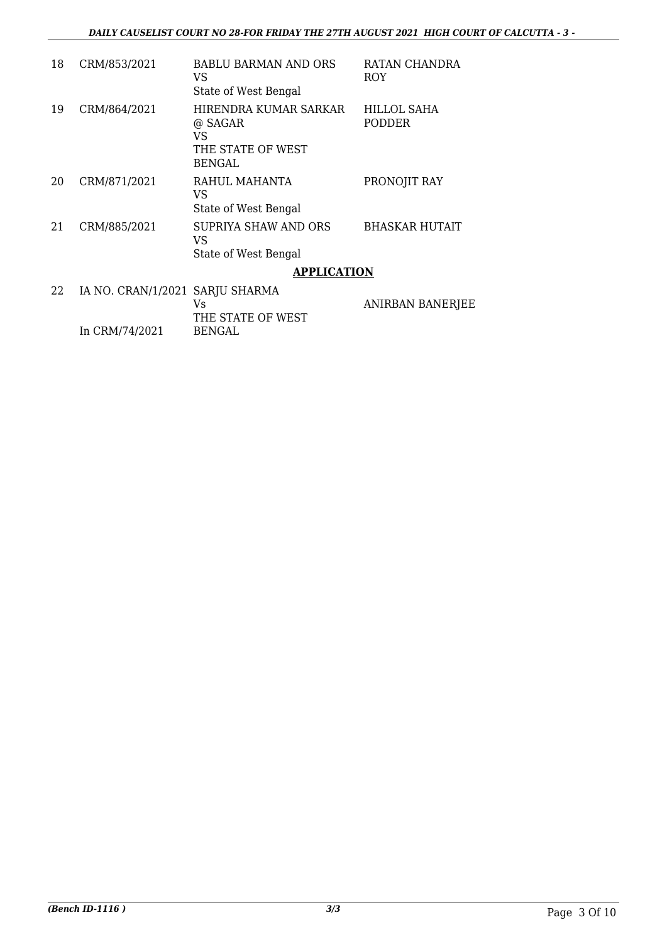| 18 | CRM/853/2021                    | <b>BABLU BARMAN AND ORS</b><br>VS<br>State of West Bengal                    | RATAN CHANDRA<br>ROY                |
|----|---------------------------------|------------------------------------------------------------------------------|-------------------------------------|
| 19 | CRM/864/2021                    | HIRENDRA KUMAR SARKAR<br>@ SAGAR<br>VS<br>THE STATE OF WEST<br><b>BENGAL</b> | <b>HILLOL SAHA</b><br><b>PODDER</b> |
| 20 | CRM/871/2021                    | RAHUL MAHANTA<br>VS<br>State of West Bengal                                  | PRONOJIT RAY                        |
| 21 | CRM/885/2021                    | SUPRIYA SHAW AND ORS<br>VS<br>State of West Bengal                           | <b>BHASKAR HUTAIT</b>               |
|    |                                 | <b>APPLICATION</b>                                                           |                                     |
| 22 | IA NO. CRAN/1/2021 SARJU SHARMA | Vs<br>THE STATE OF WEST                                                      | <b>ANIRBAN BANERJEE</b>             |

BENGAL

In CRM/74/2021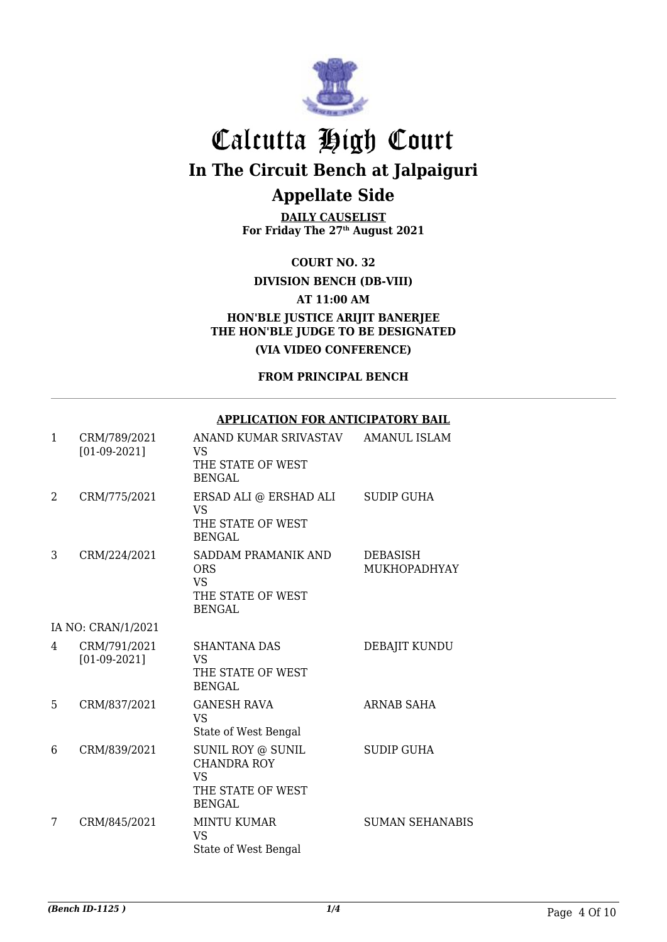

**DAILY CAUSELIST For Friday The 27th August 2021**

**COURT NO. 32**

**DIVISION BENCH (DB-VIII)**

**AT 11:00 AM**

**HON'BLE JUSTICE ARIJIT BANERJEE THE HON'BLE JUDGE TO BE DESIGNATED (VIA VIDEO CONFERENCE)**

**FROM PRINCIPAL BENCH**

#### **APPLICATION FOR ANTICIPATORY BAIL**

| $\mathbf{1}$ | CRM/789/2021<br>$[01-09-2021]$ | ANAND KUMAR SRIVASTAV<br>VS.<br>THE STATE OF WEST<br><b>BENGAL</b>                         | <b>AMANUL ISLAM</b>      |
|--------------|--------------------------------|--------------------------------------------------------------------------------------------|--------------------------|
| 2            | CRM/775/2021                   | ERSAD ALI @ ERSHAD ALI<br>VS<br>THE STATE OF WEST<br><b>BENGAL</b>                         | <b>SUDIP GUHA</b>        |
| 3            | CRM/224/2021                   | SADDAM PRAMANIK AND<br><b>ORS</b><br><b>VS</b><br>THE STATE OF WEST<br><b>BENGAL</b>       | DEBASISH<br>MUKHOPADHYAY |
|              | IA NO: CRAN/1/2021             |                                                                                            |                          |
| 4            | CRM/791/2021<br>$[01-09-2021]$ | <b>SHANTANA DAS</b><br><b>VS</b><br>THE STATE OF WEST<br><b>BENGAL</b>                     | DEBAJIT KUNDU            |
| 5            | CRM/837/2021                   | <b>GANESH RAVA</b><br><b>VS</b><br>State of West Bengal                                    | ARNAB SAHA               |
| 6            | CRM/839/2021                   | SUNIL ROY @ SUNIL<br><b>CHANDRA ROY</b><br><b>VS</b><br>THE STATE OF WEST<br><b>BENGAL</b> | <b>SUDIP GUHA</b>        |
| 7            | CRM/845/2021                   | <b>MINTU KUMAR</b><br><b>VS</b><br>State of West Bengal                                    | <b>SUMAN SEHANABIS</b>   |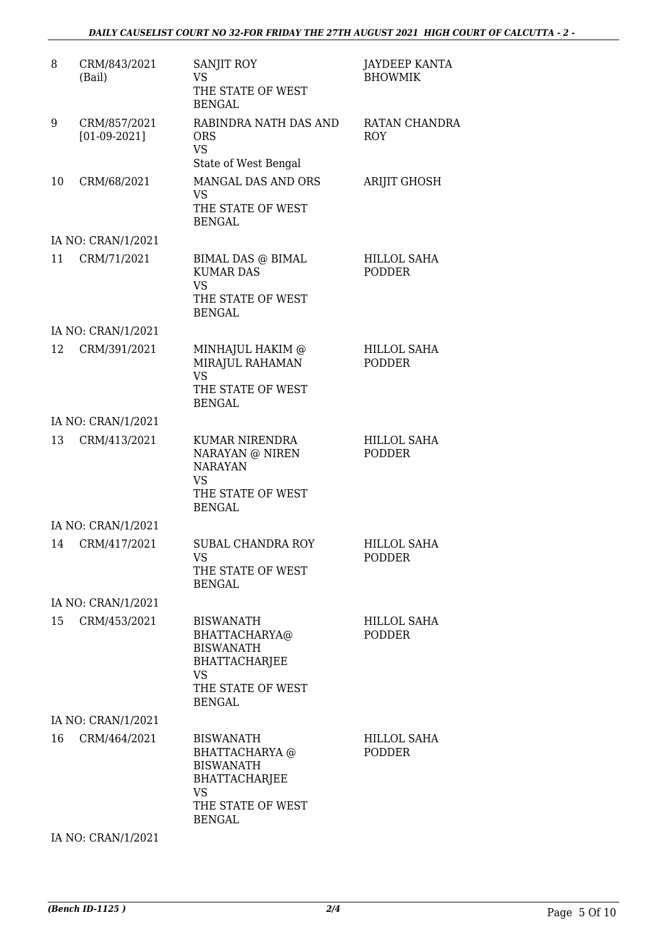| 8  | CRM/843/2021<br>(Bail)         | SANJIT ROY<br><b>VS</b><br>THE STATE OF WEST<br><b>BENGAL</b>                                                                     | <b>JAYDEEP KANTA</b><br><b>BHOWMIK</b> |
|----|--------------------------------|-----------------------------------------------------------------------------------------------------------------------------------|----------------------------------------|
| 9  | CRM/857/2021<br>$[01-09-2021]$ | RABINDRA NATH DAS AND<br><b>ORS</b><br><b>VS</b><br>State of West Bengal                                                          | RATAN CHANDRA<br><b>ROY</b>            |
| 10 | CRM/68/2021                    | MANGAL DAS AND ORS<br><b>VS</b><br>THE STATE OF WEST<br><b>BENGAL</b>                                                             | <b>ARIJIT GHOSH</b>                    |
|    | IA NO: CRAN/1/2021             |                                                                                                                                   |                                        |
| 11 | CRM/71/2021                    | BIMAL DAS @ BIMAL<br><b>KUMAR DAS</b><br><b>VS</b><br>THE STATE OF WEST<br><b>BENGAL</b>                                          | HILLOL SAHA<br><b>PODDER</b>           |
|    | IA NO: CRAN/1/2021             |                                                                                                                                   |                                        |
| 12 | CRM/391/2021                   | MINHAJUL HAKIM @<br>MIRAJUL RAHAMAN<br><b>VS</b><br>THE STATE OF WEST<br><b>BENGAL</b>                                            | HILLOL SAHA<br><b>PODDER</b>           |
|    | IA NO: CRAN/1/2021             |                                                                                                                                   |                                        |
| 13 | CRM/413/2021                   | KUMAR NIRENDRA<br>NARAYAN @ NIREN<br><b>NARAYAN</b><br>VS<br>THE STATE OF WEST<br><b>BENGAL</b>                                   | HILLOL SAHA<br><b>PODDER</b>           |
|    | IA NO: CRAN/1/2021             |                                                                                                                                   |                                        |
| 14 | CRM/417/2021                   | <b>SUBAL CHANDRA ROY</b><br>VS<br>THE STATE OF WEST<br><b>BENGAL</b>                                                              | <b>HILLOL SAHA</b><br><b>PODDER</b>    |
|    | IA NO: CRAN/1/2021             |                                                                                                                                   |                                        |
| 15 | CRM/453/2021                   | <b>BISWANATH</b><br>BHATTACHARYA@<br><b>BISWANATH</b><br><b>BHATTACHARJEE</b><br><b>VS</b><br>THE STATE OF WEST<br><b>BENGAL</b>  | HILLOL SAHA<br>PODDER                  |
|    | IA NO: CRAN/1/2021             |                                                                                                                                   |                                        |
| 16 | CRM/464/2021                   | <b>BISWANATH</b><br>BHATTACHARYA @<br><b>BISWANATH</b><br><b>BHATTACHARJEE</b><br><b>VS</b><br>THE STATE OF WEST<br><b>BENGAL</b> | HILLOL SAHA<br>PODDER                  |

IA NO: CRAN/1/2021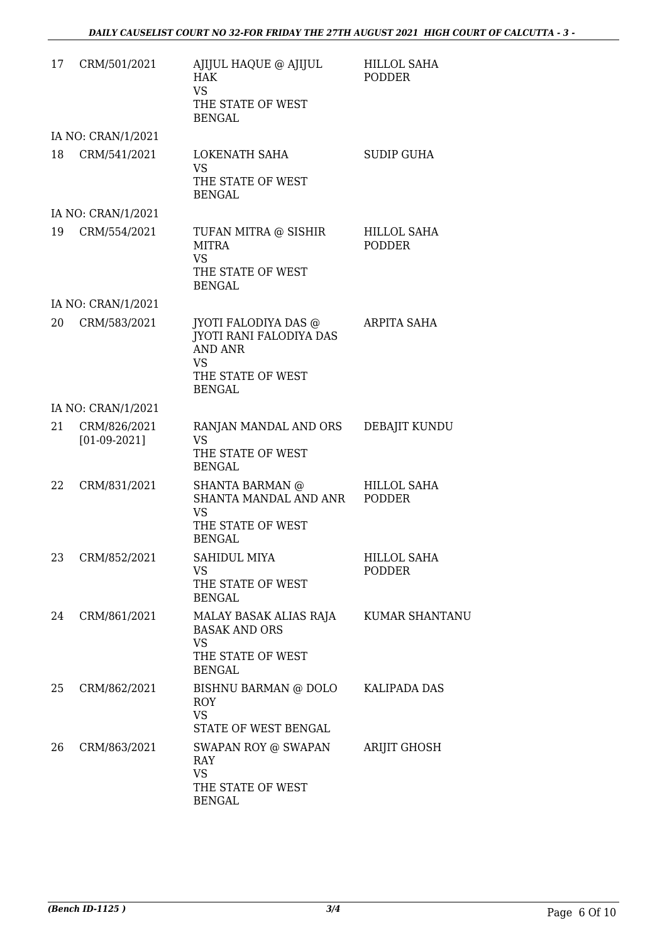| 17 | CRM/501/2021                   | AJIJUL HAQUE @ AJIJUL<br><b>HAK</b><br>VS.<br>THE STATE OF WEST<br><b>BENGAL</b>                                              | <b>HILLOL SAHA</b><br><b>PODDER</b> |
|----|--------------------------------|-------------------------------------------------------------------------------------------------------------------------------|-------------------------------------|
|    | IA NO: CRAN/1/2021             |                                                                                                                               |                                     |
| 18 | CRM/541/2021                   | LOKENATH SAHA<br><b>VS</b><br>THE STATE OF WEST<br><b>BENGAL</b>                                                              | <b>SUDIP GUHA</b>                   |
|    | IA NO: CRAN/1/2021             |                                                                                                                               |                                     |
| 19 | CRM/554/2021                   | TUFAN MITRA @ SISHIR<br><b>MITRA</b><br>VS.<br>THE STATE OF WEST<br><b>BENGAL</b>                                             | <b>HILLOL SAHA</b><br><b>PODDER</b> |
|    | IA NO: CRAN/1/2021             |                                                                                                                               |                                     |
| 20 | CRM/583/2021                   | JYOTI FALODIYA DAS $@$<br><b>JYOTI RANI FALODIYA DAS</b><br><b>AND ANR</b><br><b>VS</b><br>THE STATE OF WEST<br><b>BENGAL</b> | <b>ARPITA SAHA</b>                  |
|    | IA NO: CRAN/1/2021             |                                                                                                                               |                                     |
| 21 | CRM/826/2021<br>$[01-09-2021]$ | RANJAN MANDAL AND ORS<br><b>VS</b><br>THE STATE OF WEST<br><b>BENGAL</b>                                                      | DEBAJIT KUNDU                       |
| 22 | CRM/831/2021                   | SHANTA BARMAN @<br>SHANTA MANDAL AND ANR<br><b>VS</b><br>THE STATE OF WEST<br><b>BENGAL</b>                                   | <b>HILLOL SAHA</b><br><b>PODDER</b> |
|    | 23 CRM/852/2021                | SAHIDUL MIYA<br>VS.<br>THE STATE OF WEST<br><b>BENGAL</b>                                                                     | HILLOL SAHA<br><b>PODDER</b>        |
| 24 | CRM/861/2021                   | MALAY BASAK ALIAS RAJA<br><b>BASAK AND ORS</b><br>VS.<br>THE STATE OF WEST<br><b>BENGAL</b>                                   | <b>KUMAR SHANTANU</b>               |
| 25 | CRM/862/2021                   | BISHNU BARMAN @ DOLO<br><b>ROY</b><br><b>VS</b><br>STATE OF WEST BENGAL                                                       | KALIPADA DAS                        |
| 26 | CRM/863/2021                   | SWAPAN ROY @ SWAPAN<br>RAY<br>VS.<br>THE STATE OF WEST<br><b>BENGAL</b>                                                       | <b>ARIJIT GHOSH</b>                 |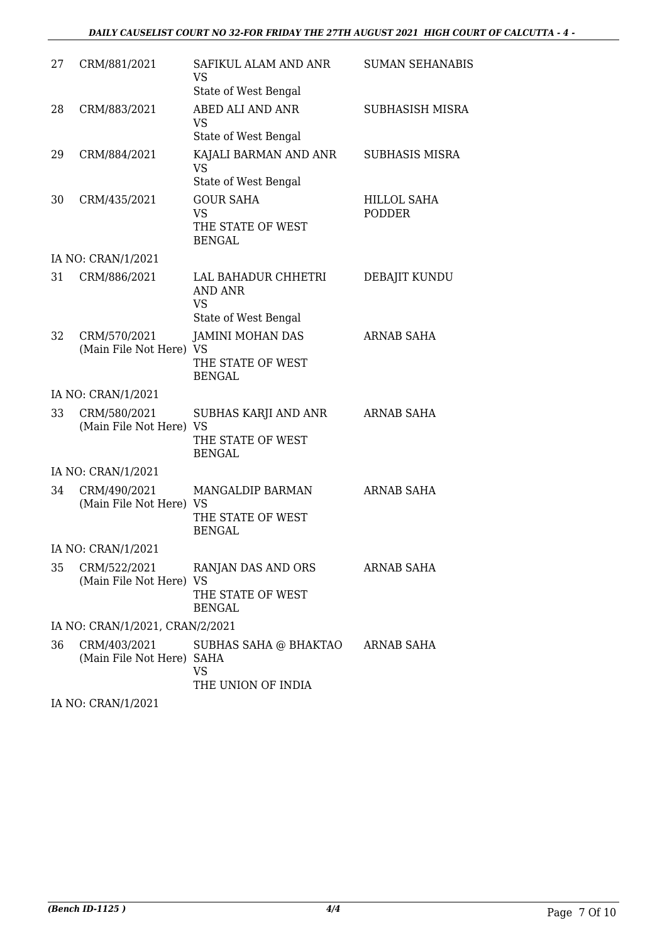#### *DAILY CAUSELIST COURT NO 32-FOR FRIDAY THE 27TH AUGUST 2021 HIGH COURT OF CALCUTTA - 4 -*

| 27 | CRM/881/2021                              | SAFIKUL ALAM AND ANR<br><b>VS</b>                                   | <b>SUMAN SEHANABIS</b>              |
|----|-------------------------------------------|---------------------------------------------------------------------|-------------------------------------|
|    |                                           | State of West Bengal                                                |                                     |
| 28 | CRM/883/2021                              | ABED ALI AND ANR<br><b>VS</b><br>State of West Bengal               | SUBHASISH MISRA                     |
| 29 | CRM/884/2021                              | KAJALI BARMAN AND ANR<br><b>VS</b><br>State of West Bengal          | <b>SUBHASIS MISRA</b>               |
| 30 | CRM/435/2021                              | <b>GOUR SAHA</b><br><b>VS</b><br>THE STATE OF WEST<br><b>BENGAL</b> | <b>HILLOL SAHA</b><br><b>PODDER</b> |
|    | IA NO: CRAN/1/2021                        |                                                                     |                                     |
| 31 | CRM/886/2021                              | LAL BAHADUR CHHETRI<br><b>AND ANR</b><br><b>VS</b>                  | DEBAJIT KUNDU                       |
|    |                                           | State of West Bengal                                                |                                     |
| 32 | CRM/570/2021<br>(Main File Not Here) VS   | <b>JAMINI MOHAN DAS</b><br>THE STATE OF WEST<br><b>BENGAL</b>       | <b>ARNAB SAHA</b>                   |
|    | IA NO: CRAN/1/2021                        |                                                                     |                                     |
| 33 | CRM/580/2021<br>(Main File Not Here) VS   | SUBHAS KARJI AND ANR<br>THE STATE OF WEST<br><b>BENGAL</b>          | <b>ARNAB SAHA</b>                   |
|    | IA NO: CRAN/1/2021                        |                                                                     |                                     |
| 34 | CRM/490/2021<br>(Main File Not Here) VS   | MANGALDIP BARMAN<br>THE STATE OF WEST<br><b>BENGAL</b>              | <b>ARNAB SAHA</b>                   |
|    | IA NO: CRAN/1/2021                        |                                                                     |                                     |
| 35 | CRM/522/2021<br>(Main File Not Here) VS   | RANJAN DAS AND ORS<br>THE STATE OF WEST<br><b>BENGAL</b>            | <b>ARNAB SAHA</b>                   |
|    | IA NO: CRAN/1/2021, CRAN/2/2021           |                                                                     |                                     |
| 36 | CRM/403/2021<br>(Main File Not Here) SAHA | SUBHAS SAHA @ BHAKTAO ARNAB SAHA<br><b>VS</b><br>THE UNION OF INDIA |                                     |
|    | $I$ AIO CDANII 19091                      |                                                                     |                                     |

IA NO: CRAN/1/2021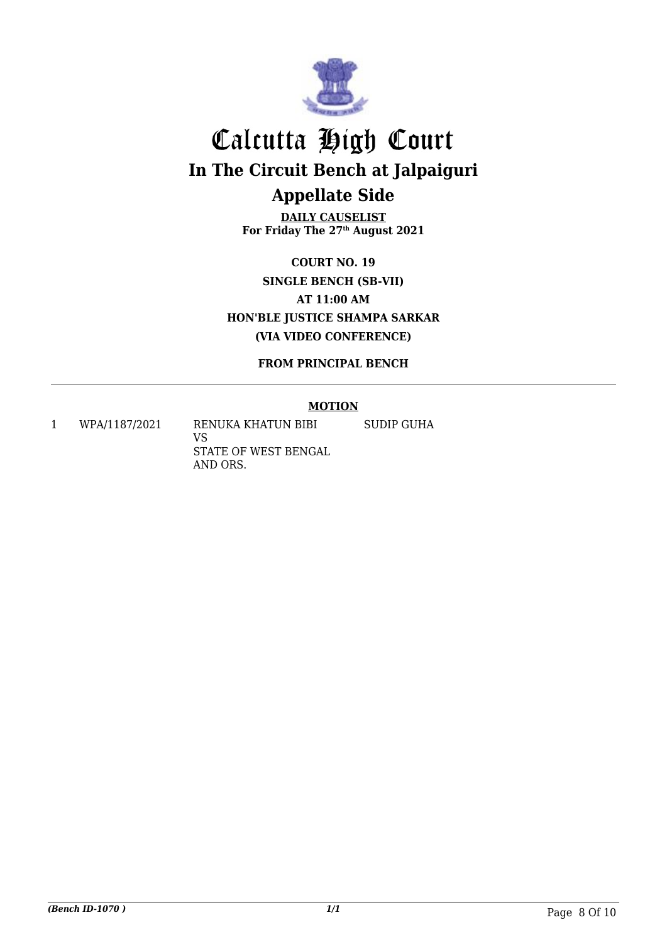

**DAILY CAUSELIST For Friday The 27th August 2021**

**COURT NO. 19 SINGLE BENCH (SB-VII) AT 11:00 AM HON'BLE JUSTICE SHAMPA SARKAR (VIA VIDEO CONFERENCE)**

**FROM PRINCIPAL BENCH**

#### **MOTION**

1 WPA/1187/2021 RENUKA KHATUN BIBI

VS STATE OF WEST BENGAL AND ORS.

SUDIP GUHA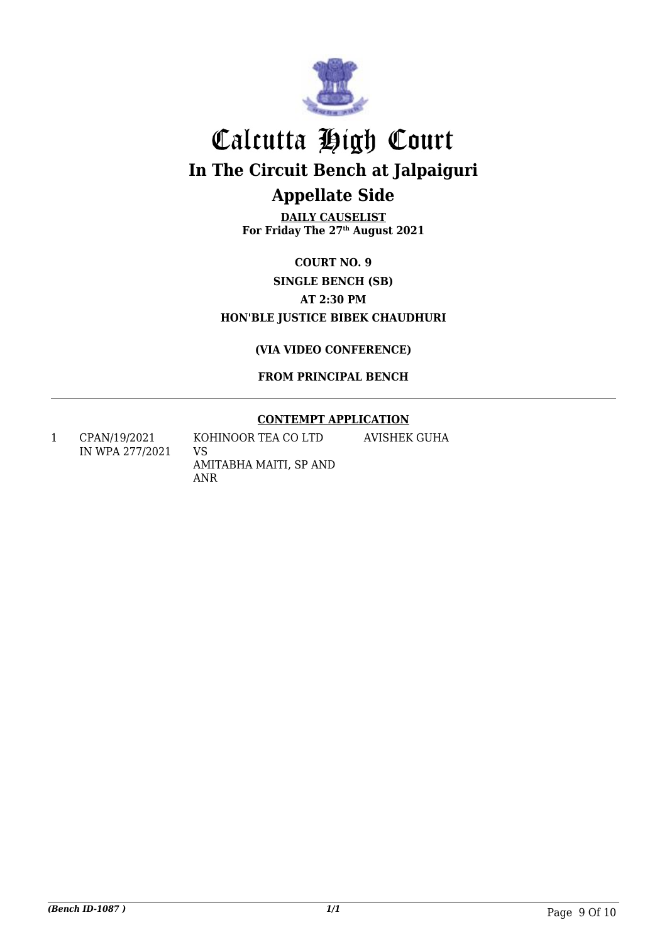

**DAILY CAUSELIST For Friday The 27th August 2021**

### **COURT NO. 9 SINGLE BENCH (SB) AT 2:30 PM HON'BLE JUSTICE BIBEK CHAUDHURI**

**(VIA VIDEO CONFERENCE)**

**FROM PRINCIPAL BENCH**

#### **CONTEMPT APPLICATION**

1 CPAN/19/2021 IN WPA 277/2021 KOHINOOR TEA CO LTD VS AMITABHA MAITI, SP AND ANR AVISHEK GUHA